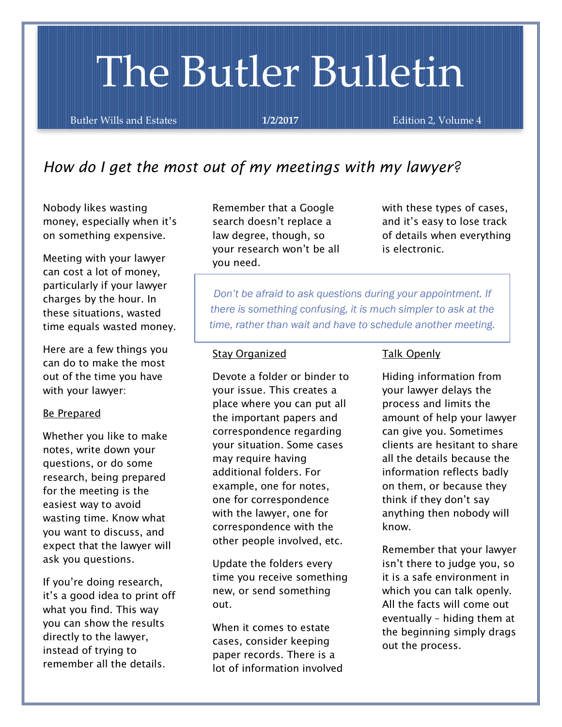# The Butler Bulletin

Butler Wills and Estates **1/2/2017 Edition 2, Volume 4** 

# *How do I get the most out of my meetings with my lawyer?*

Nobody likes wasting money, especially when it's on something expensive.

Meeting with your lawyer can cost a lot of money, particularly if your lawyer charges by the hour. In these situations, wasted time equals wasted money.

Here are a few things you can do to make the most out of the time you have with your lawyer:

#### Be Prepared

Whether you like to make notes, write down your questions, or do some research, being prepared for the meeting is the easiest way to avoid wasting time. Know what you want to discuss, and expect that the lawyer will ask you questions.

If you're doing research, it's a good idea to print off what you find. This way you can show the results directly to the lawyer, instead of trying to remember all the details.

Remember that a Google search doesn't replace a law degree, though, so your research won't be all you need.

with these types of cases, and it's easy to lose track of details when everything is electronic.

*Don't be afraid to ask questions during your appointment. If there is something confusing, it is much simpler to ask at the time, rather than wait and have to schedule another meeting.*

#### Stay Organized

Devote a folder or binder to your issue. This creates a place where you can put all the important papers and correspondence regarding your situation. Some cases may require having additional folders. For example, one for notes, one for correspondence with the lawyer, one for correspondence with the other people involved, etc.

Update the folders every time you receive something new, or send something out.

When it comes to estate cases, consider keeping paper records. There is a lot of information involved

#### Talk Openly

Hiding information from your lawyer delays the process and limits the amount of help your lawyer can give you. Sometimes clients are hesitant to share all the details because the information reflects badly on them, or because they think if they don't say anything then nobody will know.

Remember that your lawyer isn't there to judge you, so it is a safe environment in which you can talk openly. All the facts will come out eventually – hiding them at the beginning simply drags out the process.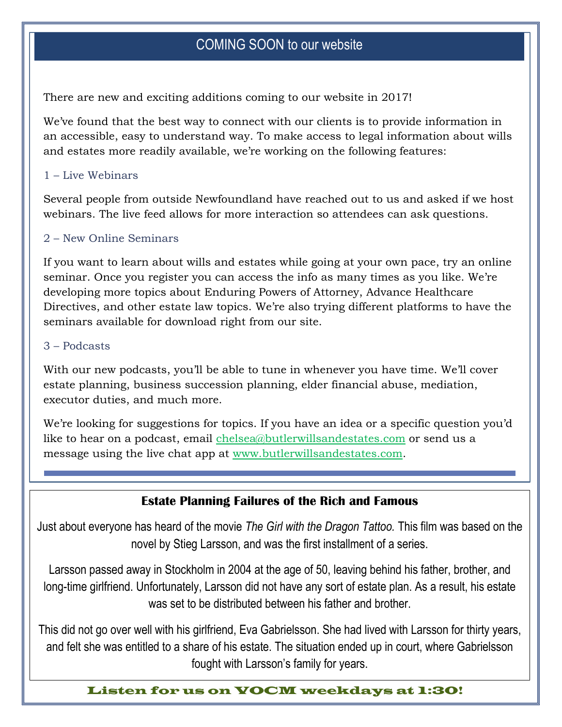# COMING SOON to our website

There are new and exciting additions coming to our website in 2017!

We've found that the best way to connect with our clients is to provide information in an accessible, easy to understand way. To make access to legal information about wills and estates more readily available, we're working on the following features:

#### 1 – Live Webinars

Several people from outside Newfoundland have reached out to us and asked if we host webinars. The live feed allows for more interaction so attendees can ask questions.

### 2 – New Online Seminars

If you want to learn about wills and estates while going at your own pace, try an online seminar. Once you register you can access the info as many times as you like. We're developing more topics about Enduring Powers of Attorney, Advance Healthcare Directives, and other estate law topics. We're also trying different platforms to have the seminars available for download right from our site.

#### 3 – Podcasts

With our new podcasts, you'll be able to tune in whenever you have time. We'll cover estate planning, business succession planning, elder financial abuse, mediation, executor duties, and much more.

We're looking for suggestions for topics. If you have an idea or a specific question you'd like to hear on a podcast, email [chelsea@butlerwillsandestates.com](mailto:chelsea@butlerwillsandestates.com) or send us a message using the live chat app at [www.butlerwillsandestates.com.](http://www.butlerwillsandestates.com/)

## **Estate Planning Failures of the Rich and Famous**

Just about everyone has heard of the movie *The Girl with the Dragon Tattoo.* This film was based on the novel by Stieg Larsson, and was the first installment of a series.

Larsson passed away in Stockholm in 2004 at the age of 50, leaving behind his father, brother, and long-time girlfriend. Unfortunately, Larsson did not have any sort of estate plan. As a result, his estate was set to be distributed between his father and brother.

This did not go over well with his girlfriend, Eva Gabrielsson. She had lived with Larsson for thirty years, and felt she was entitled to a share of his estate. The situation ended up in court, where Gabrielsson fought with Larsson's family for years.

Listen for us on VOCM weekdays at 1:30!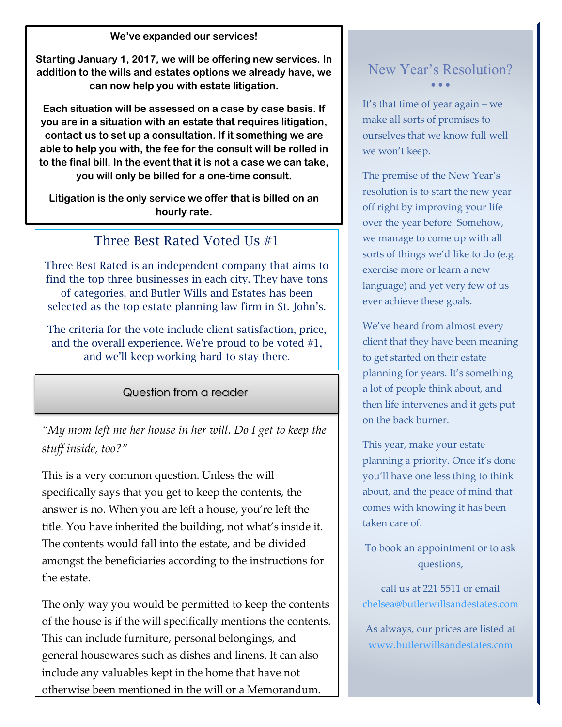**We've expanded our services!**

**Starting January 1, 2017, we will be offering new services. In addition to the wills and estates options we already have, we can now help you with estate litigation.** 

**Each situation will be assessed on a case by case basis. If you are in a situation with an estate that requires litigation, contact us to set up a consultation. If it something we are able to help you with, the fee for the consult will be rolled in to the final bill. In the event that it is not a case we can take, you will only be billed for a one-time consult.**

**Litigation is the only service we offer that is billed on an hourly rate.** 

## Three Best Rated Voted Us #1

Three Best Rated is an independent company that aims to find the top three businesses in each city. They have tons of categories, and Butler Wills and Estates has been selected as the top estate planning law firm in St. John's.

The criteria for the vote include client satisfaction, price, and the overall experience. We're proud to be voted #1, and we'll keep working hard to stay there.

Question from a reader

*"My mom left me her house in her will. Do I get to keep the stuff inside, too?"*

This is a very common question. Unless the will specifically says that you get to keep the contents, the answer is no. When you are left a house, you're left the title. You have inherited the building, not what's inside it. The contents would fall into the estate, and be divided amongst the beneficiaries according to the instructions for the estate.

The only way you would be permitted to keep the contents of the house is if the will specifically mentions the contents. This can include furniture, personal belongings, and general housewares such as dishes and linens. It can also include any valuables kept in the home that have not otherwise been mentioned in the will or a Memorandum.

## New Year's Resolution?  $\bullet$   $\bullet$   $\bullet$

It's that time of year again – we make all sorts of promises to ourselves that we know full well we won't keep.

The premise of the New Year's resolution is to start the new year off right by improving your life over the year before. Somehow, we manage to come up with all sorts of things we'd like to do (e.g. exercise more or learn a new language) and yet very few of us ever achieve these goals.

We've heard from almost every client that they have been meaning to get started on their estate planning for years. It's something a lot of people think about, and then life intervenes and it gets put on the back burner.

This year, make your estate planning a priority. Once it's done you'll have one less thing to think about, and the peace of mind that comes with knowing it has been taken care of.

To book an appointment or to ask questions,

call us at 221 5511 or email [chelsea@butlerwillsandestates.com](mailto:chelsea@butlerwillsandestates.com)

As always, our prices are listed at [www.butlerwillsandestates.com](http://www.butlerwillsandestates.com/)